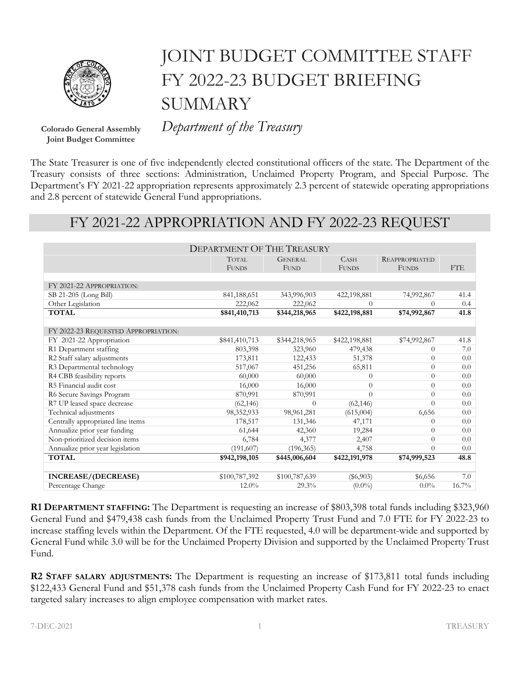

## JOINT BUDGET COMMITTEE STAFF FY 2022-23 BUDGET BRIEFING **SUMMARY**

**Joint Budget Committee**

**Colorado General Assembly** *Department of the Treasury*

The State Treasurer is one of five independently elected constitutional officers of the state. The Department of the Treasury consists of three sections: Administration, Unclaimed Property Program, and Special Purpose. The Department's FY 2021-22 appropriation represents approximately 2.3 percent of statewide operating appropriations and 2.8 percent of statewide General Fund appropriations.

## FY 2021-22 APPROPRIATION AND FY 2022-23 REQUEST

|                                     | <b>DEPARTMENT OF THE TREASURY</b> |                |               |                       |            |
|-------------------------------------|-----------------------------------|----------------|---------------|-----------------------|------------|
|                                     | <b>TOTAL</b>                      | <b>GENERAL</b> | CASH          | <b>REAPPROPRIATED</b> |            |
|                                     | <b>FUNDS</b>                      | <b>FUND</b>    | <b>FUNDS</b>  | <b>FUNDS</b>          | <b>FTE</b> |
|                                     |                                   |                |               |                       |            |
| FY 2021-22 APPROPRIATION:           |                                   |                |               |                       |            |
| SB 21-205 (Long Bill)               | 841,188,651                       | 343,996,903    | 422,198,881   | 74,992,867            | 41.4       |
| Other Legislation                   | 222,062                           | 222,062        | $\theta$      | $\Omega$              | 0.4        |
| <b>TOTAL</b>                        | \$841,410,713                     | \$344,218,965  | \$422,198,881 | \$74,992,867          | 41.8       |
|                                     |                                   |                |               |                       |            |
| FY 2022-23 REQUESTED APPROPRIATION: |                                   |                |               |                       |            |
| FY 2021-22 Appropriation            | \$841,410,713                     | \$344,218,965  | \$422,198,881 | \$74,992,867          | 41.8       |
| R1 Department staffing              | 803,398                           | 323,960        | 479,438       | 0                     | 7.0        |
| R2 Staff salary adjustments         | 173,811                           | 122,433        | 51,378        | $\Omega$              | 0.0        |
| R3 Departmental technology          | 517,067                           | 451,256        | 65,811        | $\Omega$              | 0.0        |
| R4 CBB feasibility reports          | 60,000                            | 60,000         | $\theta$      | $\Omega$              | 0.0        |
| R5 Financial audit cost             | 16,000                            | 16,000         | $\theta$      | $\Omega$              | 0.0        |
| R6 Secure Savings Program           | 870,991                           | 870,991        | $\Omega$      | $\Omega$              | 0.0        |
| R7 UP leased space decrease         | (62, 146)                         | $\Omega$       | (62, 146)     | 0                     | 0.0        |
| Technical adjustments               | 98,352,933                        | 98,961,281     | (615,004)     | 6,656                 | 0.0        |
| Centrally appropriated line items   | 178,517                           | 131,346        | 47,171        | 0                     | 0.0        |
| Annualize prior year funding        | 61,644                            | 42,360         | 19,284        | $\Omega$              | 0.0        |
| Non-prioritized decision items      | 6,784                             | 4,377          | 2,407         | $\Omega$              | 0.0        |
| Annualize prior year legislation    | (191, 607)                        | (196, 365)     | 4,758         | $\Omega$              | 0.0        |
| <b>TOTAL</b>                        | \$942,198,105                     | \$445,006,604  | \$422,191,978 | \$74,999,523          | 48.8       |
|                                     |                                   |                |               |                       |            |
| INCREASE/(DECREASE)                 | \$100,787,392                     | \$100,787,639  | $(\$6,903)$   | \$6,656               | 7.0        |
| Percentage Change                   | $12.0\%$                          | 29.3%          | $(0.0\%)$     | $0.0\%$               | $16.7\%$   |

**R1 DEPARTMENT STAFFING:** The Department is requesting an increase of \$803,398 total funds including \$323,960 General Fund and \$479,438 cash funds from the Unclaimed Property Trust Fund and 7.0 FTE for FY 2022-23 to increase staffing levels within the Department. Of the FTE requested, 4.0 will be department-wide and supported by General Fund while 3.0 will be for the Unclaimed Property Division and supported by the Unclaimed Property Trust Fund.

**R2 STAFF SALARY ADJUSTMENTS:** The Department is requesting an increase of \$173,811 total funds including \$122,433 General Fund and \$51,378 cash funds from the Unclaimed Property Cash Fund for FY 2022-23 to enact targeted salary increases to align employee compensation with market rates.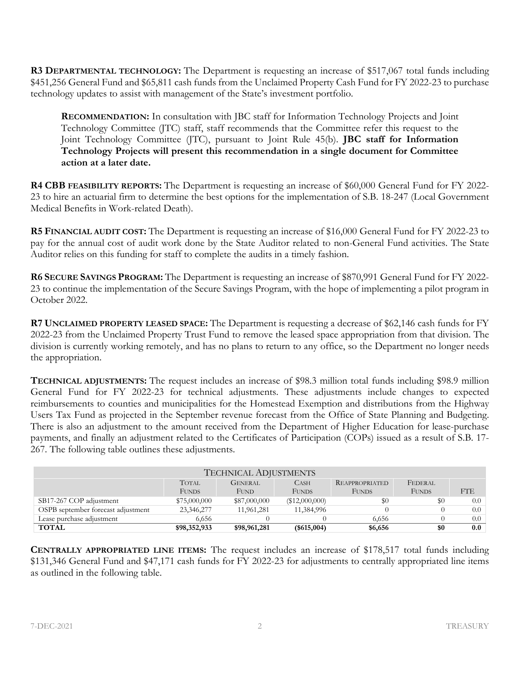**R3 DEPARTMENTAL TECHNOLOGY:** The Department is requesting an increase of \$517,067 total funds including \$451,256 General Fund and \$65,811 cash funds from the Unclaimed Property Cash Fund for FY 2022-23 to purchase technology updates to assist with management of the State's investment portfolio.

**RECOMMENDATION:** In consultation with JBC staff for Information Technology Projects and Joint Technology Committee (JTC) staff, staff recommends that the Committee refer this request to the Joint Technology Committee (JTC), pursuant to Joint Rule 45(b). **JBC staff for Information Technology Projects will present this recommendation in a single document for Committee action at a later date.**

**R4 CBB FEASIBILITY REPORTS:** The Department is requesting an increase of \$60,000 General Fund for FY 2022- 23 to hire an actuarial firm to determine the best options for the implementation of S.B. 18-247 (Local Government Medical Benefits in Work-related Death).

**R5 FINANCIAL AUDIT COST:** The Department is requesting an increase of \$16,000 General Fund for FY 2022-23 to pay for the annual cost of audit work done by the State Auditor related to non-General Fund activities. The State Auditor relies on this funding for staff to complete the audits in a timely fashion.

**R6 SECURE SAVINGS PROGRAM:** The Department is requesting an increase of \$870,991 General Fund for FY 2022- 23 to continue the implementation of the Secure Savings Program, with the hope of implementing a pilot program in October 2022.

**R7 UNCLAIMED PROPERTY LEASED SPACE:** The Department is requesting a decrease of \$62,146 cash funds for FY 2022-23 from the Unclaimed Property Trust Fund to remove the leased space appropriation from that division. The division is currently working remotely, and has no plans to return to any office, so the Department no longer needs the appropriation.

**TECHNICAL ADJUSTMENTS:** The request includes an increase of \$98.3 million total funds including \$98.9 million General Fund for FY 2022-23 for technical adjustments. These adjustments include changes to expected reimbursements to counties and municipalities for the Homestead Exemption and distributions from the Highway Users Tax Fund as projected in the September revenue forecast from the Office of State Planning and Budgeting. There is also an adjustment to the amount received from the Department of Higher Education for lease-purchase payments, and finally an adjustment related to the Certificates of Participation (COPs) issued as a result of S.B. 17- 267. The following table outlines these adjustments.

| <b>TECHNICAL ADJUSTMENTS</b>       |              |                |                |                       |              |     |
|------------------------------------|--------------|----------------|----------------|-----------------------|--------------|-----|
|                                    | <b>TOTAL</b> | <b>GENERAL</b> | <b>CASH</b>    | <b>REAPPROPRIATED</b> | FEDERAL      |     |
|                                    | <b>FUNDS</b> | FUND           | <b>FUNDS</b>   | <b>FUNDS</b>          | <b>FUNDS</b> | FTE |
| SB17-267 COP adjustment            | \$75,000,000 | \$87,000,000   | (\$12,000,000) | $\$0$                 | \$0          | 0.0 |
| OSPB september forecast adjustment | 23,346,277   | 11,961,281     | 11,384,996     |                       |              | 0.0 |
| Lease purchase adiustment          | 6.656        |                |                | 6.656                 |              | 0.0 |
| <b>TOTAL</b>                       | \$98,352,933 | \$98,961,281   | $(\$615,004)$  | \$6,656               | \$0          | 0.0 |

**CENTRALLY APPROPRIATED LINE ITEMS:** The request includes an increase of \$178,517 total funds including \$131,346 General Fund and \$47,171 cash funds for FY 2022-23 for adjustments to centrally appropriated line items as outlined in the following table.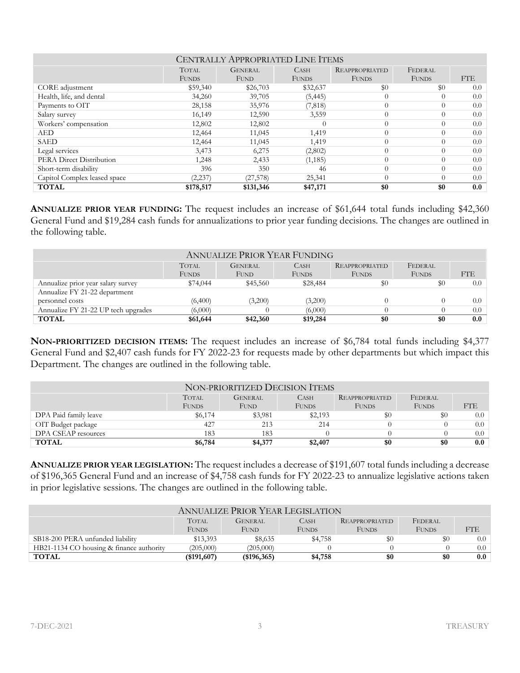| <b>CENTRALLY APPROPRIATED LINE ITEMS</b> |              |                |                  |                       |              |                  |
|------------------------------------------|--------------|----------------|------------------|-----------------------|--------------|------------------|
|                                          | <b>TOTAL</b> | <b>GENERAL</b> | <b>CASH</b>      | <b>REAPPROPRIATED</b> | FEDERAL      |                  |
|                                          | <b>FUNDS</b> | <b>FUND</b>    | <b>FUNDS</b>     | <b>FUNDS</b>          | <b>FUNDS</b> | FTE              |
| CORE adjustment                          | \$59,340     | \$26,703       | \$32,637         | \$0                   | \$0          | 0.0              |
| Health, life, and dental                 | 34,260       | 39,705         | (5, 445)         | $\theta$              | 0            | 0.0              |
| Payments to OIT                          | 28,158       | 35,976         | (7,818)          | $\theta$              | $\Omega$     | 0.0 <sub>1</sub> |
| Salary survey                            | 16,149       | 12,590         | 3,559            | $\theta$              | $\Omega$     | 0.0 <sub>1</sub> |
| Workers' compensation                    | 12,802       | 12,802         | $\left( \right)$ | $\theta$              | $\Omega$     | $0.0\,$          |
| AED                                      | 12,464       | 11,045         | 1,419            | $\theta$              | $\Omega$     | $0.0\,$          |
| <b>SAED</b>                              | 12,464       | 11,045         | 1,419            | $\theta$              | $\Omega$     | 0.0              |
| Legal services                           | 3,473        | 6,275          | (2,802)          | $\theta$              | $\Omega$     | 0.0              |
| PERA Direct Distribution                 | 1,248        | 2,433          | (1, 185)         | $\theta$              | $\Omega$     | $0.0\,$          |
| Short-term disability                    | 396          | 350            | 46               | $\theta$              | $\Omega$     | $0.0\,$          |
| Capitol Complex leased space             | (2, 237)     | (27, 578)      | 25,341           | $\theta$              | $\Omega$     | $0.0\,$          |
| <b>TOTAL</b>                             | \$178,517    | \$131,346      | \$47,171         | \$0                   | \$0          | 0.0              |

**ANNUALIZE PRIOR YEAR FUNDING:** The request includes an increase of \$61,644 total funds including \$42,360 General Fund and \$19,284 cash funds for annualizations to prior year funding decisions. The changes are outlined in the following table.

| <b>ANNUALIZE PRIOR YEAR FUNDING</b> |              |                |              |                       |              |                  |
|-------------------------------------|--------------|----------------|--------------|-----------------------|--------------|------------------|
|                                     | <b>TOTAL</b> | <b>GENERAL</b> | <b>CASH</b>  | <b>REAPPROPRIATED</b> | FEDERAL      |                  |
|                                     | <b>FUNDS</b> | <b>FUND</b>    | <b>FUNDS</b> | <b>FUNDS</b>          | <b>FUNDS</b> | FTE              |
| Annualize prior year salary survey  | \$74,044     | \$45,560       | \$28,484     | \$0                   | \$0          | 0.0              |
| Annualize FY 21-22 department       |              |                |              |                       |              |                  |
| personnel costs                     | (6,400)      | (3,200)        | (3,200)      |                       |              | 0.0 <sub>1</sub> |
| Annualize FY 21-22 UP tech upgrades | (6,000)      |                | (6,000)      |                       |              | 0.0              |
| <b>TOTAL</b>                        | \$61,644     | \$42,360       | \$19,284     | \$0                   | \$0          | 0.0              |

**NON-PRIORITIZED DECISION ITEMS:** The request includes an increase of \$6,784 total funds including \$4,377 General Fund and \$2,407 cash funds for FY 2022-23 for requests made by other departments but which impact this Department. The changes are outlined in the following table.

| NON-PRIORITIZED DECISION ITEMS |              |                |              |                       |              |         |  |
|--------------------------------|--------------|----------------|--------------|-----------------------|--------------|---------|--|
|                                | <b>TOTAL</b> | <b>GENERAL</b> | <b>CASH</b>  | <b>REAPPROPRIATED</b> | FEDERAL      |         |  |
|                                | <b>FUNDS</b> | FUND           | <b>FUNDS</b> | <b>FUNDS</b>          | <b>FUNDS</b> | FTE.    |  |
| DPA Paid family leave          | \$6,174      | \$3,981        | \$2,193      | $\$0$                 | \$0          | 0.0     |  |
| OIT Budget package             | 427          | 213            | 214          |                       |              | 0.0     |  |
| DPA CSEAP resources            | 183          | 183            |              |                       |              | 0.0     |  |
| <b>TOTAL</b>                   | \$6,784      | \$4,377        | \$2,407      | \$0                   | \$0          | $0.0\,$ |  |

**ANNUALIZE PRIOR YEAR LEGISLATION:** The request includes a decrease of \$191,607 total funds including a decrease of \$196,365 General Fund and an increase of \$4,758 cash funds for FY 2022-23 to annualize legislative actions taken in prior legislative sessions. The changes are outlined in the following table.

| <b>ANNUALIZE PRIOR YEAR LEGISLATION</b>  |                |                |              |                       |              |                  |
|------------------------------------------|----------------|----------------|--------------|-----------------------|--------------|------------------|
|                                          | <b>TOTAL</b>   | <b>GENERAL</b> | <b>CASH</b>  | <b>REAPPROPRIATED</b> | FEDERAL      |                  |
|                                          | FUNDS          | FUND           | <b>FUNDS</b> | <b>FUNDS</b>          | <b>FUNDS</b> | FTE              |
| SB18-200 PERA unfunded liability         | \$13,393       | \$8,635        | \$4,758      | \$0                   | \$0          | $0.0-1$          |
| HB21-1134 CO housing & finance authority | (205,000)      | (205,000)      |              |                       |              | 0.0 <sub>1</sub> |
| <b>TOTAL</b>                             | $($ \$191,607) | (\$196,365)    | \$4,758      | \$0                   | \$0          | $0.0\,$          |